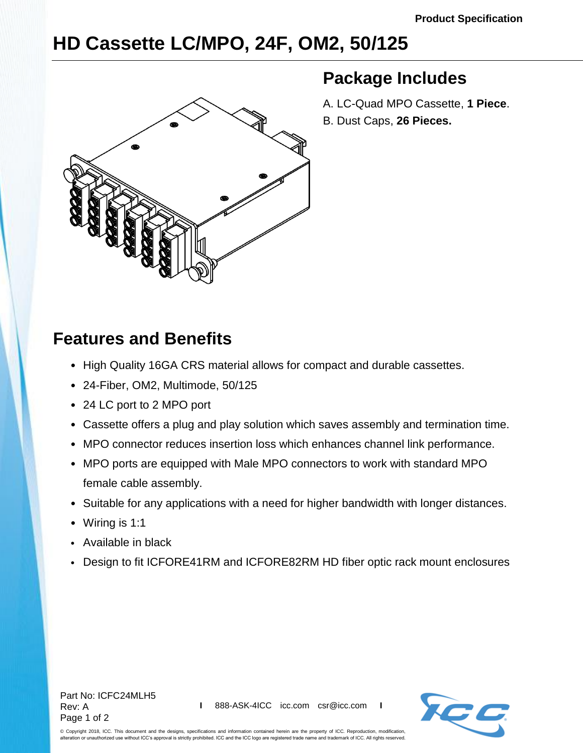## **HD Cassette LC/MPO, 24F, OM2, 50/125**



## **Package Includes**

A. LC-Quad MPO Cassette, **1 Piece**. B. Dust Caps, **26 Pieces.**

## **Features and Benefits**

- High Quality 16GA CRS material allows for compact and durable cassettes.
- 24-Fiber, OM2, Multimode, 50/125
- 24 LC port to 2 MPO port
- Cassette offers a plug and play solution which saves assembly and termination time.
- MPO connector reduces insertion loss which enhances channel link performance.
- MPO ports are equipped with Male MPO connectors to work with standard MPO female cable assembly.
- Suitable for any applications with a need for higher bandwidth with longer distances.
- Wiring is 1:1
- Available in black
- Design to fit ICFORE41RM and ICFORE82RM HD fiber optic rack mount enclosures



© Copyright 2018, ICC. This document and the designs, specifications and information contained herein are the property of ICC. Reproduction, modification, alteration or unauthorized use without ICC's approval is strictly prohibited. ICC and the ICC logo are registered trade name and trademark of ICC. All rights reserved.